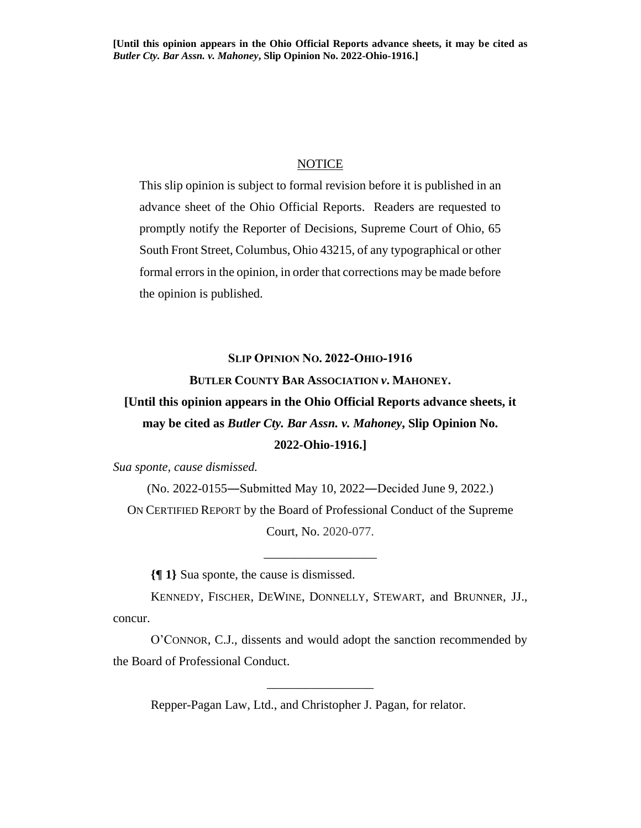## NOTICE

This slip opinion is subject to formal revision before it is published in an advance sheet of the Ohio Official Reports. Readers are requested to promptly notify the Reporter of Decisions, Supreme Court of Ohio, 65 South Front Street, Columbus, Ohio 43215, of any typographical or other formal errors in the opinion, in order that corrections may be made before the opinion is published.

## **SLIP OPINION NO. 2022-OHIO-1916**

## **BUTLER COUNTY BAR ASSOCIATION** *v***. MAHONEY.**

## **[Until this opinion appears in the Ohio Official Reports advance sheets, it may be cited as** *Butler Cty. Bar Assn. v. Mahoney***, Slip Opinion No. 2022-Ohio-1916.]**

*Sua sponte, cause dismissed.*

(No. 2022-0155―Submitted May 10, 2022―Decided June 9, 2022.) ON CERTIFIED REPORT by the Board of Professional Conduct of the Supreme Court, No. 2020-077.

\_\_\_\_\_\_\_\_\_\_\_\_\_\_\_\_\_\_

**{¶ 1}** Sua sponte, the cause is dismissed.

KENNEDY, FISCHER, DEWINE, DONNELLY, STEWART, and BRUNNER, JJ., concur.

O'CONNOR, C.J., dissents and would adopt the sanction recommended by the Board of Professional Conduct.

\_\_\_\_\_\_\_\_\_\_\_\_\_\_\_\_\_

Repper-Pagan Law, Ltd., and Christopher J. Pagan, for relator.